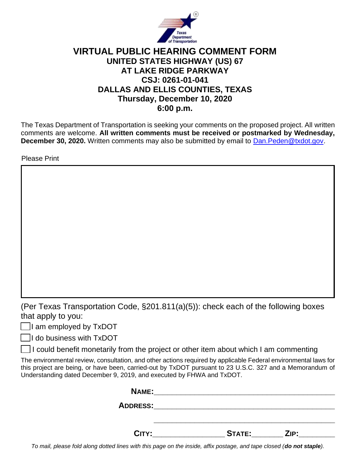

## **VIRTUAL PUBLIC HEARING COMMENT FORM UNITED STATES HIGHWAY (US) 67 AT LAKE RIDGE PARKWAY CSJ: 0261-01-041 DALLAS AND ELLIS COUNTIES, TEXAS Thursday, December 10, 2020 6:00 p.m.**

The Texas Department of Transportation is seeking your comments on the proposed project. All written comments are welcome. **All written comments must be received or postmarked by Wednesday, December 30, 2020.** Written comments may also be submitted by email to [Dan.Peden@txdot.gov.](mailto:Dan.Peden@txdot.gov)

Please Print

(Per Texas Transportation Code, §201.811(a)(5)): check each of the following boxes that apply to you:

 $\Box$ I am employed by TxDOT

 $\Box$ I do business with TxDOT

I could benefit monetarily from the project or other item about which I am commenting

The environmental review, consultation, and other actions required by applicable Federal environmental laws for this project are being, or have been, carried-out by TxDOT pursuant to 23 U.S.C. 327 and a Memorandum of Understanding dated December 9, 2019, and executed by FHWA and TxDOT.

| <b>NAME:</b>    |               |      |
|-----------------|---------------|------|
| <b>ADDRESS:</b> |               |      |
|                 |               |      |
| CITY:           | <b>STATE:</b> | ZIP: |

*To mail, please fold along dotted lines with this page on the inside, affix postage, and tape closed (do not staple).*